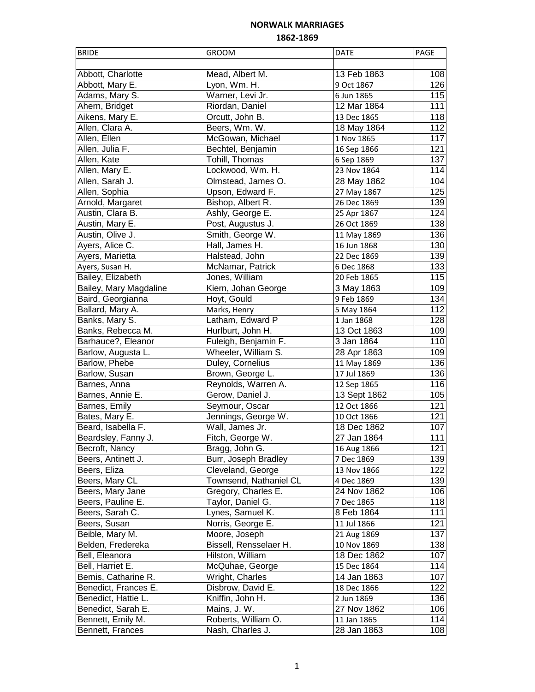| <b>BRIDE</b>           | <b>GROOM</b>           | <b>DATE</b>  | PAGE             |
|------------------------|------------------------|--------------|------------------|
|                        |                        |              |                  |
| Abbott, Charlotte      | Mead, Albert M.        | 13 Feb 1863  | 108              |
| Abbott, Mary E.        | Lyon, Wm. H.           | 9 Oct 1867   | 126              |
| Adams, Mary S.         | Warner, Levi Jr.       | 6 Jun 1865   | 115              |
| Ahern, Bridget         | Riordan, Daniel        | 12 Mar 1864  | 111              |
| Aikens, Mary E.        | Orcutt, John B.        | 13 Dec 1865  | 118              |
| Allen, Clara A.        | Beers, Wm. W.          | 18 May 1864  | 112              |
| Allen, Ellen           | McGowan, Michael       | 1 Nov 1865   | 117              |
| Allen, Julia F.        | Bechtel, Benjamin      | 16 Sep 1866  | 121              |
| Allen, Kate            | Tohill, Thomas         | 6 Sep 1869   | $\overline{137}$ |
| Allen, Mary E.         | Lockwood, Wm. H.       | 23 Nov 1864  | 114              |
| Allen, Sarah J.        | Olmstead, James O.     | 28 May 1862  | 104              |
| Allen, Sophia          | Upson, Edward F.       | 27 May 1867  | 125              |
| Arnold, Margaret       | Bishop, Albert R.      | 26 Dec 1869  | 139              |
| Austin, Clara B.       | Ashly, George E.       | 25 Apr 1867  | $\overline{124}$ |
| Austin, Mary E.        | Post, Augustus J.      | 26 Oct 1869  | 138              |
| Austin, Olive J.       | Smith, George W.       | 11 May 1869  | 136              |
| Ayers, Alice C.        | Hall, James H.         | 16 Jun 1868  | 130              |
| Ayers, Marietta        | Halstead, John         | 22 Dec 1869  | 139              |
| Ayers, Susan H.        | McNamar, Patrick       | 6 Dec 1868   | 133              |
| Bailey, Elizabeth      | Jones, William         | 20 Feb 1865  | 115              |
| Bailey, Mary Magdaline | Kiern, Johan George    | 3 May 1863   | 109              |
| Baird, Georgianna      | Hoyt, Gould            | 9 Feb 1869   | 134              |
| Ballard, Mary A.       | Marks, Henry           | 5 May 1864   | 112              |
| Banks, Mary S.         | Latham, Edward P       | 1 Jan 1868   | 128              |
| Banks, Rebecca M.      | Hurlburt, John H.      | 13 Oct 1863  | 109              |
| Barhauce?, Eleanor     | Fuleigh, Benjamin F.   | 3 Jan 1864   | 110              |
| Barlow, Augusta L.     | Wheeler, William S.    | 28 Apr 1863  | 109              |
| Barlow, Phebe          | Duley, Cornelius       | 11 May 1869  | 136              |
| Barlow, Susan          | Brown, George L.       | 17 Jul 1869  | 136              |
| Barnes, Anna           | Reynolds, Warren A.    | 12 Sep 1865  | 116              |
| Barnes, Annie E.       | Gerow, Daniel J.       | 13 Sept 1862 | 105              |
| Barnes, Emily          | Seymour, Oscar         | 12 Oct 1866  | 121              |
| Bates, Mary E.         | Jennings, George W.    | 10 Oct 1866  | 121              |
| Beard, Isabella F.     | Wall, James Jr.        | 18 Dec 1862  | 107              |
| Beardsley, Fanny J.    | Fitch, George W.       | 27 Jan 1864  | 111              |
| Becroft, Nancy         | Bragg, John G.         | 16 Aug 1866  | 121              |
| Beers, Antinett J.     | Burr, Joseph Bradley   | 7 Dec 1869   | 139              |
| Beers, Eliza           | Cleveland, George      | 13 Nov 1866  | 122              |
| Beers, Mary CL         | Townsend, Nathaniel CL | 4 Dec 1869   | 139              |
| Beers, Mary Jane       | Gregory, Charles E.    | 24 Nov 1862  | 106              |
| Beers, Pauline E.      | Taylor, Daniel G.      | 7 Dec 1865   | 118              |
| Beers, Sarah C.        | Lynes, Samuel K.       | 8 Feb 1864   | 111              |
| Beers, Susan           | Norris, George E.      | 11 Jul 1866  | 121              |
| Beible, Mary M.        | Moore, Joseph          | 21 Aug 1869  | 137              |
| Belden, Fredereka      | Bissell, Rensselaer H. | 10 Nov 1869  | 138              |
| Bell, Eleanora         | Hilston, William       | 18 Dec 1862  | 107              |
| Bell, Harriet E.       | McQuhae, George        | 15 Dec 1864  | 114              |
| Bemis, Catharine R.    | Wright, Charles        | 14 Jan 1863  | 107              |
| Benedict, Frances E.   | Disbrow, David E.      | 18 Dec 1866  | 122              |
| Benedict, Hattie L.    | Kniffin, John H.       | 2 Jun 1869   | 136              |
| Benedict, Sarah E.     | Mains, J. W.           | 27 Nov 1862  | 106              |
| Bennett, Emily M.      | Roberts, William O.    | 11 Jan 1865  | 114              |
| Bennett, Frances       | Nash, Charles J.       | 28 Jan 1863  | 108              |
|                        |                        |              |                  |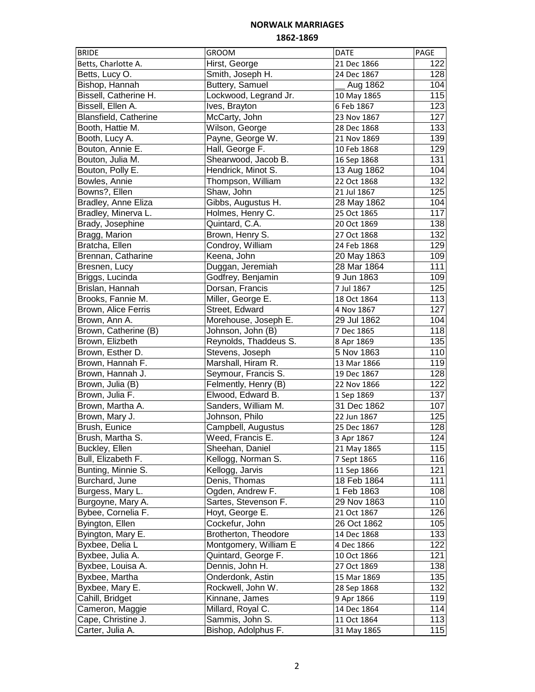| <b>BRIDE</b>                         | <b>GROOM</b>                        | DATE                      | PAGE             |
|--------------------------------------|-------------------------------------|---------------------------|------------------|
| Betts, Charlotte A.                  | Hirst, George                       | 21 Dec 1866               | 122              |
| Betts, Lucy O.                       | Smith, Joseph H.                    | 24 Dec 1867               | 128              |
| Bishop, Hannah                       | Buttery, Samuel                     | Aug 1862                  | 104              |
| Bissell, Catherine H.                | Lockwood, Legrand Jr.               | 10 May 1865               | 115              |
| Bissell, Ellen A.                    | Ives, Brayton                       | 6 Feb 1867                | 123              |
| Blansfield, Catherine                | McCarty, John                       | 23 Nov 1867               | 127              |
| Booth, Hattie M.                     | Wilson, George                      | 28 Dec 1868               | 133              |
| Booth, Lucy A.                       | Payne, George W.                    | 21 Nov 1869               | 139              |
| Bouton, Annie E.                     | Hall, George F.                     | 10 Feb 1868               | 129              |
| Bouton, Julia M.                     | Shearwood, Jacob B.                 | 16 Sep 1868               | 131              |
| Bouton, Polly E.                     | Hendrick, Minot S.                  | 13 Aug 1862               | 104              |
| Bowles, Annie                        | Thompson, William                   | 22 Oct 1868               | 132              |
| Bowns?, Ellen                        | Shaw, John                          | 21 Jul 1867               | 125              |
| Bradley, Anne Eliza                  | Gibbs, Augustus H.                  | 28 May 1862               | 104              |
| Bradley, Minerva L.                  | Holmes, Henry C.                    | 25 Oct 1865               | 117              |
| Brady, Josephine                     | Quintard, C.A.                      | 20 Oct 1869               | 138              |
| Bragg, Marion                        | Brown, Henry S.                     | 27 Oct 1868               | 132              |
| Bratcha, Ellen                       | Condroy, William                    | 24 Feb 1868               | 129              |
| Brennan, Catharine                   | Keena, John                         | 20 May 1863               | 109              |
| Bresnen, Lucy                        | Duggan, Jeremiah                    | 28 Mar 1864               | 111              |
| Briggs, Lucinda                      | Godfrey, Benjamin                   | 9 Jun 1863                | 109              |
| Brislan, Hannah                      | Dorsan, Francis                     | 7 Jul 1867                | 125              |
| Brooks, Fannie M.                    | Miller, George E.                   | 18 Oct 1864               | 113              |
| Brown, Alice Ferris                  | Street, Edward                      | 4 Nov 1867                | $\overline{127}$ |
| Brown, Ann A.                        | Morehouse, Joseph E.                | 29 Jul 1862               | 104              |
| Brown, Catherine (B)                 | Johnson, John (B)                   | 7 Dec 1865                | 118              |
| Brown, Elizbeth                      | Reynolds, Thaddeus S.               |                           | 135              |
| Brown, Esther D.                     | Stevens, Joseph                     | 8 Apr 1869<br>5 Nov 1863  | 110              |
| Brown, Hannah F.                     | Marshall, Hiram R.                  | 13 Mar 1866               | 119              |
| Brown, Hannah J.                     | Seymour, Francis S.                 | 19 Dec 1867               | 128              |
| Brown, Julia (B)                     | Felmently, Henry (B)                | 22 Nov 1866               | 122              |
| Brown, Julia F.                      | Elwood, Edward B.                   |                           | 137              |
| Brown, Martha A.                     | Sanders, William M.                 | 1 Sep 1869<br>31 Dec 1862 | 107              |
| Brown, Mary J.                       | Johnson, Philo                      | 22 Jun 1867               | 125              |
| Brush, Eunice                        | Campbell, Augustus                  |                           | 128              |
|                                      |                                     | 25 Dec 1867               |                  |
| Brush, Martha S.                     | Weed, Francis E.<br>Sheehan, Daniel | 3 Apr 1867                | 124              |
| Buckley, Ellen<br>Bull, Elizabeth F. | Kellogg, Norman S.                  | 21 May 1865               | 115              |
| Bunting, Minnie S.                   |                                     | 7 Sept 1865               | 116<br>121       |
|                                      | Kellogg, Jarvis                     | 11 Sep 1866               |                  |
| Burchard, June                       | Denis, Thomas                       | 18 Feb 1864               | 111              |
| Burgess, Mary L.                     | Ogden, Andrew F.                    | 1 Feb 1863                | 108              |
| Burgoyne, Mary A.                    | Sartes, Stevenson F.                | 29 Nov 1863               | 110              |
| Bybee, Cornelia F.                   | Hoyt, George E.                     | 21 Oct 1867               | 126              |
| Byington, Ellen                      | Cockefur, John                      | 26 Oct 1862               | 105              |
| Byington, Mary E.                    | Brotherton, Theodore                | 14 Dec 1868               | 133              |
| Byxbee, Delia L                      | Montgomery, William E               | 4 Dec 1866                | 122              |
| Byxbee, Julia A.                     | Quintard, George F.                 | 10 Oct 1866               | 121              |
| Byxbee, Louisa A.                    | Dennis, John H.                     | 27 Oct 1869               | 138              |
| Byxbee, Martha                       | Onderdonk, Astin                    | 15 Mar 1869               | 135              |
| Byxbee, Mary E.                      | Rockwell, John W.                   | 28 Sep 1868               | 132              |
| Cahill, Bridget                      | Kinnane, James                      | 9 Apr 1866                | 119              |
| Cameron, Maggie                      | Millard, Royal C.                   | 14 Dec 1864               | 114              |
| Cape, Christine J.                   | Sammis, John S.                     | 11 Oct 1864               | 113              |
| Carter, Julia A.                     | Bishop, Adolphus F.                 | 31 May 1865               | 115              |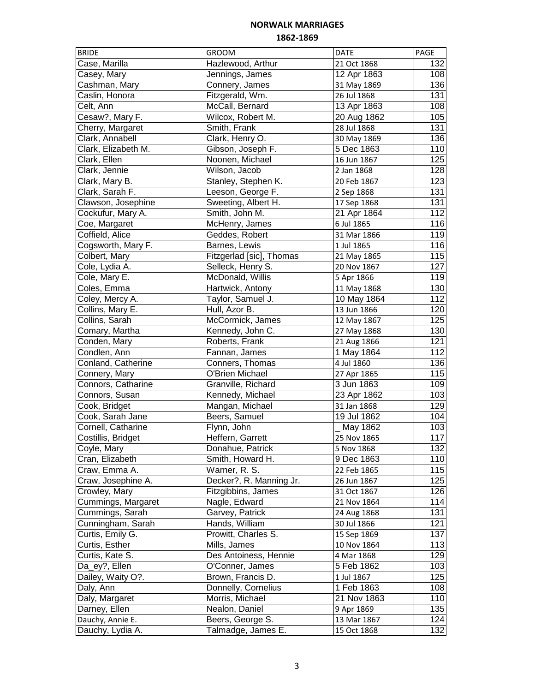| <b>BRIDE</b>        | <b>GROOM</b>             | <b>DATE</b> | PAGE             |
|---------------------|--------------------------|-------------|------------------|
| Case, Marilla       | Hazlewood, Arthur        | 21 Oct 1868 | 132              |
| Casey, Mary         | Jennings, James          | 12 Apr 1863 | 108              |
| Cashman, Mary       | Connery, James           | 31 May 1869 | 136              |
| Caslin, Honora      | Fitzgerald, Wm.          | 26 Jul 1868 | 131              |
| Celt, Ann           | McCall, Bernard          | 13 Apr 1863 | 108              |
| Cesaw?, Mary F.     | Wilcox, Robert M.        | 20 Aug 1862 | 105              |
| Cherry, Margaret    | Smith, Frank             | 28 Jul 1868 | 131              |
| Clark, Annabell     | Clark, Henry O.          | 30 May 1869 | 136              |
| Clark, Elizabeth M. | Gibson, Joseph F.        | 5 Dec 1863  | 110              |
| Clark, Ellen        | Noonen, Michael          | 16 Jun 1867 | 125              |
| Clark, Jennie       | Wilson, Jacob            | 2 Jan 1868  | 128              |
| Clark, Mary B.      | Stanley, Stephen K.      | 20 Feb 1867 | 123              |
| Clark, Sarah F.     | Leeson, George F.        | 2 Sep 1868  | 131              |
| Clawson, Josephine  | Sweeting, Albert H.      | 17 Sep 1868 | 131              |
| Cockufur, Mary A.   | Smith, John M.           | 21 Apr 1864 | 112              |
| Coe, Margaret       | McHenry, James           | 6 Jul 1865  | 116              |
| Coffield, Alice     | Geddes, Robert           | 31 Mar 1866 | 119              |
| Cogsworth, Mary F.  | Barnes, Lewis            | 1 Jul 1865  | 116              |
| Colbert, Mary       | Fitzgerlad [sic], Thomas | 21 May 1865 | 115              |
| Cole, Lydia A.      | Selleck, Henry S.        | 20 Nov 1867 | 127              |
| Cole, Mary E.       | McDonald, Willis         | 5 Apr 1866  | 119              |
| Coles, Emma         | Hartwick, Antony         | 11 May 1868 | 130              |
| Coley, Mercy A.     | Taylor, Samuel J.        | 10 May 1864 | $\overline{1}12$ |
| Collins, Mary E.    | Hull, Azor B.            | 13 Jun 1866 | 120              |
| Collins, Sarah      | McCormick, James         | 12 May 1867 | 125              |
| Comary, Martha      | Kennedy, John C.         | 27 May 1868 | 130              |
| Conden, Mary        | Roberts, Frank           | 21 Aug 1866 | 121              |
| Condlen, Ann        | Fannan, James            | 1 May 1864  | 112              |
| Conland, Catherine  | Conners, Thomas          | 4 Jul 1860  | 136              |
| Connery, Mary       | O'Brien Michael          | 27 Apr 1865 | 115              |
| Connors, Catharine  | Granville, Richard       | 3 Jun 1863  | 109              |
| Connors, Susan      | Kennedy, Michael         | 23 Apr 1862 | 103              |
| Cook, Bridget       | Mangan, Michael          | 31 Jan 1868 | 129              |
| Cook, Sarah Jane    | Beers, Samuel            | 19 Jul 1862 | 104              |
| Cornell, Catharine  | Flynn, John              | May 1862    | 103              |
| Costillis, Bridget  | Heffern, Garrett         | 25 Nov 1865 | 117              |
| Coyle, Mary         | Donahue, Patrick         | 5 Nov 1868  | 132              |
| Cran, Elizabeth     | Smith, Howard H.         | 9 Dec 1863  | 110              |
| Craw, Emma A.       | Warner, R. S.            | 22 Feb 1865 | 115              |
| Craw, Josephine A.  | Decker?, R. Manning Jr.  | 26 Jun 1867 | 125              |
| Crowley, Mary       | Fitzgibbins, James       | 31 Oct 1867 | 126              |
| Cummings, Margaret  | Nagle, Edward            | 21 Nov 1864 | 114              |
| Cummings, Sarah     | Garvey, Patrick          | 24 Aug 1868 | 131              |
| Cunningham, Sarah   | Hands, William           | 30 Jul 1866 | 121              |
| Curtis, Emily G.    | Prowitt, Charles S.      | 15 Sep 1869 | 137              |
| Curtis, Esther      | Mills, James             | 10 Nov 1864 | 113              |
| Curtis, Kate S.     | Des Antoiness, Hennie    | 4 Mar 1868  | 129              |
| Da_ey?, Ellen       | O'Conner, James          | 5 Feb 1862  | 103              |
| Dailey, Waity O?.   | Brown, Francis D.        | 1 Jul 1867  | 125              |
| Daly, Ann           | Donnelly, Cornelius      | 1 Feb 1863  | 108              |
| Daly, Margaret      | Morris, Michael          | 21 Nov 1863 | 110              |
| Darney, Ellen       | Nealon, Daniel           | 9 Apr 1869  | 135              |
| Dauchy, Annie E.    | Beers, George S.         | 13 Mar 1867 | 124              |
| Dauchy, Lydia A.    | Talmadge, James E.       | 15 Oct 1868 | 132              |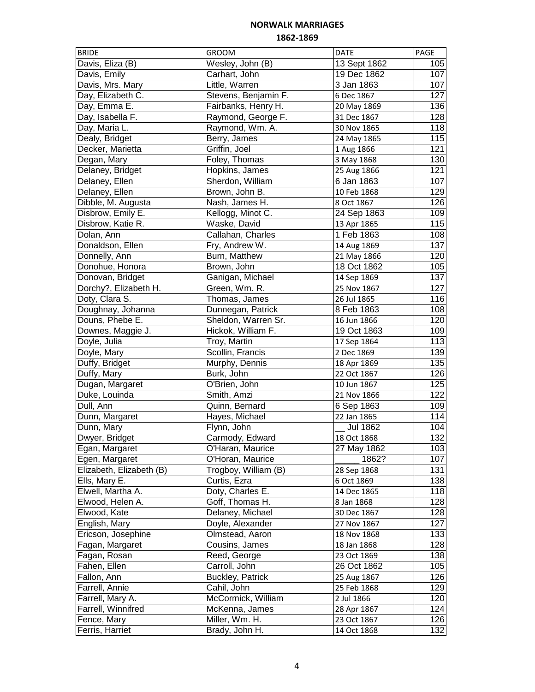| <b>BRIDE</b>             | <b>GROOM</b>         | <b>DATE</b>     | PAGE |
|--------------------------|----------------------|-----------------|------|
| Davis, Eliza (B)         | Wesley, John (B)     | 13 Sept 1862    | 105  |
| Davis, Emily             | Carhart, John        | 19 Dec 1862     | 107  |
| Davis, Mrs. Mary         | Little, Warren       | 3 Jan 1863      | 107  |
| Day, Elizabeth C.        | Stevens, Benjamin F. | 6 Dec 1867      | 127  |
| Day, Emma E.             | Fairbanks, Henry H.  | 20 May 1869     | 136  |
| Day, Isabella F.         | Raymond, George F.   | 31 Dec 1867     | 128  |
| Day, Maria L.            | Raymond, Wm. A.      | 30 Nov 1865     | 118  |
| Dealy, Bridget           | Berry, James         | 24 May 1865     | 115  |
| Decker, Marietta         | Griffin, Joel        | 1 Aug 1866      | 121  |
| Degan, Mary              | Foley, Thomas        | 3 May 1868      | 130  |
| Delaney, Bridget         | Hopkins, James       | 25 Aug 1866     | 121  |
| Delaney, Ellen           | Sherdon, William     | 6 Jan 1863      | 107  |
| Delaney, Ellen           | Brown, John B.       | 10 Feb 1868     | 129  |
| Dibble, M. Augusta       | Nash, James H.       | 8 Oct 1867      | 126  |
| Disbrow, Emily E.        | Kellogg, Minot C.    | 24 Sep 1863     | 109  |
| Disbrow, Katie R.        | Waske, David         | 13 Apr 1865     | 115  |
| Dolan, Ann               | Callahan, Charles    | 1 Feb 1863      | 108  |
| Donaldson, Ellen         | Fry, Andrew W.       | 14 Aug 1869     | 137  |
| Donnelly, Ann            | Burn, Matthew        | 21 May 1866     | 120  |
| Donohue, Honora          | Brown, John          | 18 Oct 1862     | 105  |
| Donovan, Bridget         | Ganigan, Michael     | 14 Sep 1869     | 137  |
| Dorchy?, Elizabeth H.    | Green, Wm. R.        | 25 Nov 1867     | 127  |
| Doty, Clara S.           | Thomas, James        | 26 Jul 1865     | 116  |
| Doughnay, Johanna        | Dunnegan, Patrick    | 8 Feb 1863      | 108  |
| Douns, Phebe E.          | Sheldon, Warren Sr.  | 16 Jun 1866     | 120  |
| Downes, Maggie J.        | Hickok, William F.   | 19 Oct 1863     | 109  |
| Doyle, Julia             | Troy, Martin         |                 | 113  |
| Doyle, Mary              | Scollin, Francis     | 17 Sep 1864     | 139  |
|                          |                      | 2 Dec 1869      | 135  |
| Duffy, Bridget           | Murphy, Dennis       | 18 Apr 1869     | 126  |
| Duffy, Mary              | Burk, John           | 22 Oct 1867     | 125  |
| Dugan, Margaret          | O'Brien, John        | 10 Jun 1867     | 122  |
| Duke, Louinda            | Smith, Amzi          | 21 Nov 1866     |      |
| Dull, Ann                | Quinn, Bernard       | 6 Sep 1863      | 109  |
| Dunn, Margaret           | Hayes, Michael       | 22 Jan 1865     | 114  |
| Dunn, Mary               | Flynn, John          | <b>Jul 1862</b> | 104  |
| Dwyer, Bridget           | Carmody, Edward      | 18 Oct 1868     | 132  |
| Egan, Margaret           | O'Haran, Maurice     | 27 May 1862     | 103  |
| Egen, Margaret           | O'Horan, Maurice     | 1862?           | 107  |
| Elizabeth, Elizabeth (B) | Trogboy, William (B) | 28 Sep 1868     | 131  |
| Ells, Mary E.            | Curtis, Ezra         | 6 Oct 1869      | 138  |
| Elwell, Martha A.        | Doty, Charles E.     | 14 Dec 1865     | 118  |
| Elwood, Helen A.         | Goff, Thomas H.      | 8 Jan 1868      | 128  |
| Elwood, Kate             | Delaney, Michael     | 30 Dec 1867     | 128  |
| English, Mary            | Doyle, Alexander     | 27 Nov 1867     | 127  |
| Ericson, Josephine       | Olmstead, Aaron      | 18 Nov 1868     | 133  |
| Fagan, Margaret          | Cousins, James       | 18 Jan 1868     | 128  |
| Fagan, Rosan             | Reed, George         | 23 Oct 1869     | 138  |
| Fahen, Ellen             | Carroll, John        | 26 Oct 1862     | 105  |
| Fallon, Ann              | Buckley, Patrick     | 25 Aug 1867     | 126  |
| Farrell, Annie           | Cahil, John          | 25 Feb 1868     | 129  |
| Farrell, Mary A.         | McCormick, William   | 2 Jul 1866      | 120  |
| Farrell, Winnifred       | McKenna, James       | 28 Apr 1867     | 124  |
| Fence, Mary              | Miller, Wm. H.       | 23 Oct 1867     | 126  |
| Ferris, Harriet          | Brady, John H.       | 14 Oct 1868     | 132  |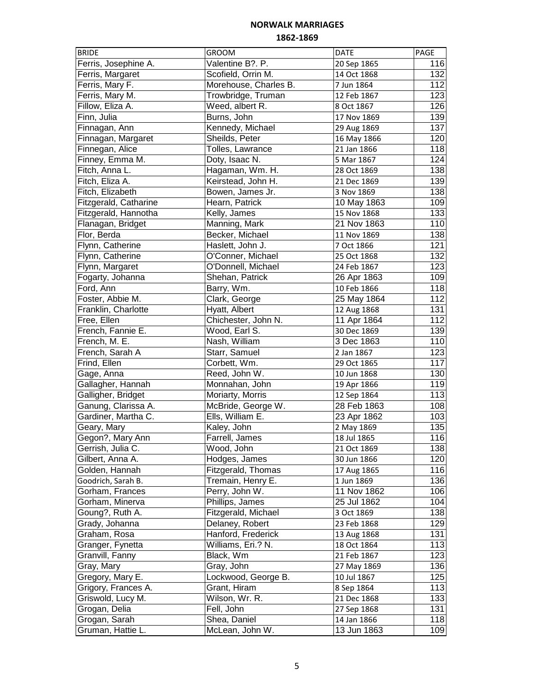| <b>BRIDE</b>          | <b>GROOM</b>          | <b>DATE</b> | PAGE |
|-----------------------|-----------------------|-------------|------|
| Ferris, Josephine A.  | Valentine B?. P.      | 20 Sep 1865 | 116  |
| Ferris, Margaret      | Scofield, Orrin M.    | 14 Oct 1868 | 132  |
| Ferris, Mary F.       | Morehouse, Charles B. | 7 Jun 1864  | 112  |
| Ferris, Mary M.       | Trowbridge, Truman    | 12 Feb 1867 | 123  |
| Fillow, Eliza A.      | Weed, albert R.       | 8 Oct 1867  | 126  |
| Finn, Julia           | Burns, John           | 17 Nov 1869 | 139  |
| Finnagan, Ann         | Kennedy, Michael      | 29 Aug 1869 | 137  |
| Finnagan, Margaret    | Sheilds, Peter        | 16 May 1866 | 120  |
| Finnegan, Alice       | Tolles, Lawrance      | 21 Jan 1866 | 118  |
| Finney, Emma M.       | Doty, Isaac N.        | 5 Mar 1867  | 124  |
| Fitch, Anna L.        | Hagaman, Wm. H.       | 28 Oct 1869 | 138  |
| Fitch, Eliza A.       | Keirstead, John H.    | 21 Dec 1869 | 139  |
| Fitch, Elizabeth      | Bowen, James Jr.      | 3 Nov 1869  | 138  |
| Fitzgerald, Catharine | Hearn, Patrick        | 10 May 1863 | 109  |
| Fitzgerald, Hannotha  | Kelly, James          | 15 Nov 1868 | 133  |
| Flanagan, Bridget     | Manning, Mark         | 21 Nov 1863 | 110  |
| Flor, Berda           | Becker, Michael       | 11 Nov 1869 | 138  |
| Flynn, Catherine      | Haslett, John J.      | 7 Oct 1866  | 121  |
| Flynn, Catherine      | O'Conner, Michael     | 25 Oct 1868 | 132  |
| Flynn, Margaret       | O'Donnell, Michael    | 24 Feb 1867 | 123  |
| Fogarty, Johanna      | Shehan, Patrick       | 26 Apr 1863 | 109  |
| Ford, Ann             | Barry, Wm.            | 10 Feb 1866 | 118  |
| Foster, Abbie M.      | Clark, George         | 25 May 1864 | 112  |
| Franklin, Charlotte   | Hyatt, Albert         | 12 Aug 1868 | 131  |
| Free, Ellen           | Chichester, John N.   | 11 Apr 1864 | 112  |
| French, Fannie E.     | Wood, Earl S.         | 30 Dec 1869 | 139  |
| French, M. E.         | Nash, William         | 3 Dec 1863  | 110  |
| French, Sarah A       | Starr, Samuel         | 2 Jan 1867  | 123  |
| Frind, Ellen          | Corbett, Wm.          | 29 Oct 1865 | 117  |
| Gage, Anna            | Reed, John W.         | 10 Jun 1868 | 130  |
| Gallagher, Hannah     | Monnahan, John        | 19 Apr 1866 | 119  |
| Galligher, Bridget    | Moriarty, Morris      | 12 Sep 1864 | 113  |
| Ganung, Clarissa A.   | McBride, George W.    | 28 Feb 1863 | 108  |
| Gardiner, Martha C.   | Ells, William E.      | 23 Apr 1862 | 103  |
| Geary, Mary           | Kaley, John           | 2 May 1869  | 135  |
| Gegon?, Mary Ann      | Farrell, James        | 18 Jul 1865 | 116  |
| Gerrish, Julia C.     | Wood, John            | 21 Oct 1869 | 138  |
| Gilbert, Anna A.      | Hodges, James         | 30 Jun 1866 | 120  |
| Golden, Hannah        | Fitzgerald, Thomas    | 17 Aug 1865 | 116  |
| Goodrich, Sarah B.    | Tremain, Henry E.     | 1 Jun 1869  | 136  |
| Gorham, Frances       | Perry, John W.        | 11 Nov 1862 | 106  |
| Gorham, Minerva       | Phillips, James       | 25 Jul 1862 | 104  |
| Goung?, Ruth A.       | Fitzgerald, Michael   | 3 Oct 1869  | 138  |
| Grady, Johanna        | Delaney, Robert       | 23 Feb 1868 | 129  |
| Graham, Rosa          | Hanford, Frederick    | 13 Aug 1868 | 131  |
| Granger, Fynetta      | Williams, Eri.? N.    | 18 Oct 1864 | 113  |
| Granvill, Fanny       | Black, Wm             | 21 Feb 1867 | 123  |
| Gray, Mary            | Gray, John            | 27 May 1869 | 136  |
| Gregory, Mary E.      | Lockwood, George B.   | 10 Jul 1867 | 125  |
| Grigory, Frances A.   | Grant, Hiram          | 8 Sep 1864  | 113  |
| Griswold, Lucy M.     | Wilson, Wr. R.        | 21 Dec 1868 | 133  |
| Grogan, Delia         | Fell, John            | 27 Sep 1868 | 131  |
| Grogan, Sarah         | Shea, Daniel          | 14 Jan 1866 | 118  |
| Gruman, Hattie L.     | McLean, John W.       | 13 Jun 1863 | 109  |
|                       |                       |             |      |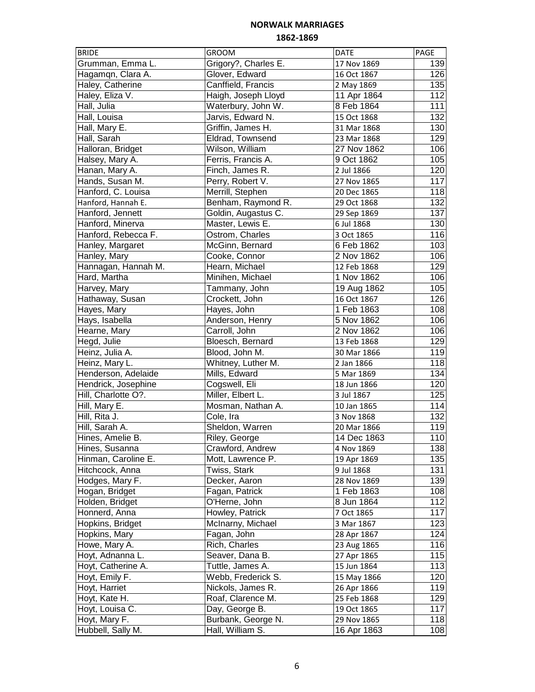| <b>BRIDE</b>                               | <b>GROOM</b>                       | DATE        | PAGE       |
|--------------------------------------------|------------------------------------|-------------|------------|
| Grumman, Emma L.                           | Grigory?, Charles E.               | 17 Nov 1869 | 139        |
| Hagamqn, Clara A.                          | Glover, Edward                     | 16 Oct 1867 | 126        |
| Haley, Catherine                           | Canffield, Francis                 | 2 May 1869  | 135        |
| Haley, Eliza V.                            | Haigh, Joseph Lloyd                | 11 Apr 1864 | 112        |
| Hall, Julia                                | Waterbury, John W.                 | 8 Feb 1864  | 111        |
| Hall, Louisa                               | Jarvis, Edward N.                  | 15 Oct 1868 | 132        |
| Hall, Mary E.                              | Griffin, James H.                  | 31 Mar 1868 | 130        |
| Hall, Sarah                                | Eldrad, Townsend                   | 23 Mar 1868 | 129        |
| Halloran, Bridget                          | Wilson, William                    | 27 Nov 1862 | 106        |
| Halsey, Mary A.                            | Ferris, Francis A.                 | 9 Oct 1862  | 105        |
| Hanan, Mary A.                             | Finch, James R.                    | 2 Jul 1866  | 120        |
| Hands, Susan M.                            | Perry, Robert V.                   | 27 Nov 1865 | 117        |
| Hanford, C. Louisa                         | Merrill, Stephen                   | 20 Dec 1865 | 118        |
| Hanford, Hannah E.                         | Benham, Raymond R.                 | 29 Oct 1868 | 132        |
| Hanford, Jennett                           | Goldin, Augastus C.                | 29 Sep 1869 | 137        |
| Hanford, Minerva                           | Master, Lewis E.                   | 6 Jul 1868  | 130        |
| Hanford, Rebecca F.                        | Ostrom, Charles                    | 3 Oct 1865  | 116        |
| Hanley, Margaret                           | McGinn, Bernard                    | 6 Feb 1862  | 103        |
| Hanley, Mary                               | Cooke, Connor                      | 2 Nov 1862  | 106        |
| Hannagan, Hannah M.                        | Hearn, Michael                     | 12 Feb 1868 | 129        |
| Hard, Martha                               | Minihen, Michael                   | 1 Nov 1862  | 106        |
| Harvey, Mary                               | Tammany, John                      | 19 Aug 1862 | 105        |
| Hathaway, Susan                            | Crockett, John                     | 16 Oct 1867 | 126        |
| Hayes, Mary                                | Hayes, John                        | 1 Feb 1863  | 108        |
| Hays, Isabella                             | Anderson, Henry                    | 5 Nov 1862  | 106        |
| Hearne, Mary                               | Carroll, John                      | 2 Nov 1862  | 106        |
| Hegd, Julie                                | Bloesch, Bernard                   | 13 Feb 1868 | 129        |
| Heinz, Julia A.                            | Blood, John M.                     |             | 119        |
| Heinz, Mary L.                             | Whitney, Luther M.                 | 30 Mar 1866 | 118        |
|                                            | Mills, Edward                      | 2 Jan 1866  | 134        |
| Henderson, Adelaide                        |                                    | 5 Mar 1869  | 120        |
| Hendrick, Josephine<br>Hill, Charlotte O?. | Cogswell, Eli<br>Miller, Elbert L. | 18 Jun 1866 | 125        |
|                                            |                                    | 3 Jul 1867  |            |
| Hill, Mary E.<br>Hill, Rita J.             | Mosman, Nathan A.                  | 10 Jan 1865 | 114<br>132 |
|                                            | Cole, Ira                          | 3 Nov 1868  |            |
| Hill, Sarah A.                             | Sheldon, Warren                    | 20 Mar 1866 | 119        |
| Hines, Amelie B.                           | Riley, George                      | 14 Dec 1863 | 110        |
| Hines, Susanna                             | Crawford, Andrew                   | 4 Nov 1869  | 138        |
| Hinman, Caroline E.                        | Mott, Lawrence P.                  | 19 Apr 1869 | 135        |
| Hitchcock, Anna                            | Twiss, Stark                       | 9 Jul 1868  | 131        |
| Hodges, Mary F.                            | Decker, Aaron                      | 28 Nov 1869 | 139        |
| Hogan, Bridget                             | Fagan, Patrick                     | 1 Feb 1863  | 108        |
| Holden, Bridget                            | O'Herne, John                      | 8 Jun 1864  | 112        |
| Honnerd, Anna                              | Howley, Patrick                    | 7 Oct 1865  | 117        |
| Hopkins, Bridget                           | McInarny, Michael                  | 3 Mar 1867  | 123        |
| Hopkins, Mary                              | Fagan, John                        | 28 Apr 1867 | 124        |
| Howe, Mary A.                              | Rich, Charles                      | 23 Aug 1865 | 116        |
| Hoyt, Adnanna L.                           | Seaver, Dana B.                    | 27 Apr 1865 | 115        |
| Hoyt, Catherine A.                         | Tuttle, James A.                   | 15 Jun 1864 | 113        |
| Hoyt, Emily F.                             | Webb, Frederick S.                 | 15 May 1866 | 120        |
| Hoyt, Harriet                              | Nickols, James R.                  | 26 Apr 1866 | 119        |
| Hoyt, Kate H.                              | Roaf, Clarence M.                  | 25 Feb 1868 | 129        |
| Hoyt, Louisa C.                            | Day, George B.                     | 19 Oct 1865 | 117        |
| Hoyt, Mary F.                              | Burbank, George N.                 | 29 Nov 1865 | 118        |
| Hubbell, Sally M.                          | Hall, William S.                   | 16 Apr 1863 | 108        |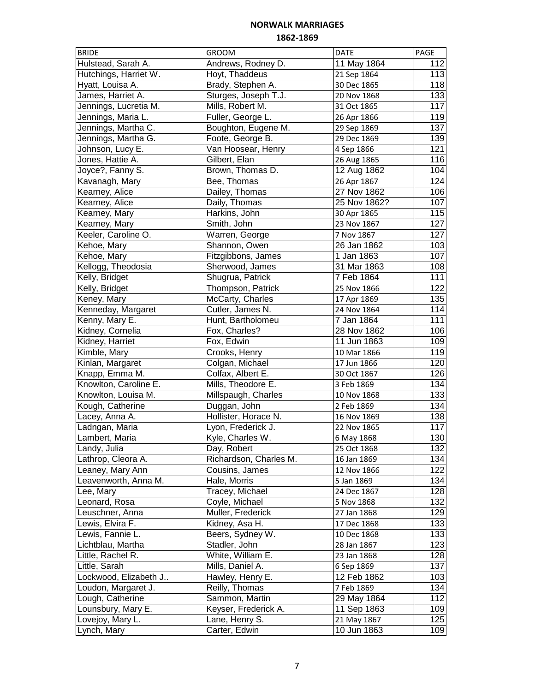| <b>BRIDE</b>          | <b>GROOM</b>           | <b>DATE</b>  | PAGE             |
|-----------------------|------------------------|--------------|------------------|
| Hulstead, Sarah A.    | Andrews, Rodney D.     | 11 May 1864  | 112              |
| Hutchings, Harriet W. | Hoyt, Thaddeus         | 21 Sep 1864  | 113              |
| Hyatt, Louisa A.      | Brady, Stephen A.      | 30 Dec 1865  | 118              |
| James, Harriet A.     | Sturges, Joseph T.J.   | 20 Nov 1868  | 133              |
| Jennings, Lucretia M. | Mills, Robert M.       | 31 Oct 1865  | 117              |
| Jennings, Maria L.    | Fuller, George L.      | 26 Apr 1866  | 119              |
| Jennings, Martha C.   | Boughton, Eugene M.    | 29 Sep 1869  | 137              |
| Jennings, Martha G.   | Foote, George B.       | 29 Dec 1869  | 139              |
| Johnson, Lucy E.      | Van Hoosear, Henry     | 4 Sep 1866   | 121              |
| Jones, Hattie A.      | Gilbert, Elan          | 26 Aug 1865  | 116              |
| Joyce?, Fanny S.      | Brown, Thomas D.       | 12 Aug 1862  | 104              |
| Kavanagh, Mary        | Bee, Thomas            | 26 Apr 1867  | $\overline{1}24$ |
| Kearney, Alice        | Dailey, Thomas         | 27 Nov 1862  | 106              |
| Kearney, Alice        | Daily, Thomas          | 25 Nov 1862? | 107              |
| Kearney, Mary         | Harkins, John          | 30 Apr 1865  | 115              |
| Kearney, Mary         | Smith, John            | 23 Nov 1867  | 127              |
| Keeler, Caroline O.   | Warren, George         | 7 Nov 1867   | 127              |
| Kehoe, Mary           | Shannon, Owen          | 26 Jan 1862  | 103              |
| Kehoe, Mary           | Fitzgibbons, James     | 1 Jan 1863   | 107              |
| Kellogg, Theodosia    | Sherwood, James        | 31 Mar 1863  | 108              |
| Kelly, Bridget        | Shugrua, Patrick       | 7 Feb 1864   | 111              |
| Kelly, Bridget        | Thompson, Patrick      | 25 Nov 1866  | 122              |
| Keney, Mary           | McCarty, Charles       | 17 Apr 1869  | 135              |
| Kenneday, Margaret    | Cutler, James N.       | 24 Nov 1864  | 114              |
| Kenny, Mary E.        | Hunt, Bartholomeu      | 7 Jan 1864   | 111              |
| Kidney, Cornelia      | Fox, Charles?          | 28 Nov 1862  | 106              |
| Kidney, Harriet       | Fox, Edwin             | 11 Jun 1863  | 109              |
| Kimble, Mary          | Crooks, Henry          | 10 Mar 1866  | 119              |
| Kinlan, Margaret      | Colgan, Michael        | 17 Jun 1866  | 120              |
| Knapp, Emma M.        | Colfax, Albert E.      | 30 Oct 1867  | 126              |
| Knowlton, Caroline E. | Mills, Theodore E.     | 3 Feb 1869   | 134              |
| Knowlton, Louisa M.   | Millspaugh, Charles    | 10 Nov 1868  | 133              |
| Kough, Catherine      | Duggan, John           | 2 Feb 1869   | 134              |
| Lacey, Anna A.        | Hollister, Horace N.   | 16 Nov 1869  | 138              |
| Ladngan, Maria        | Lyon, Frederick J.     | 22 Nov 1865  | 117              |
| Lambert, Maria        | Kyle, Charles W.       | 6 May 1868   | 130              |
| Landy, Julia          | Day, Robert            | 25 Oct 1868  | 132              |
| Lathrop, Cleora A.    | Richardson, Charles M. | 16 Jan 1869  | 134              |
| Leaney, Mary Ann      | Cousins, James         | 12 Nov 1866  | 122              |
| Leavenworth, Anna M.  | Hale, Morris           | 5 Jan 1869   | 134              |
| Lee, Mary             | Tracey, Michael        | 24 Dec 1867  | 128              |
| Leonard, Rosa         | Coyle, Michael         | 5 Nov 1868   | 132              |
| Leuschner, Anna       | Muller, Frederick      | 27 Jan 1868  | 129              |
| Lewis, Elvira F.      | Kidney, Asa H.         | 17 Dec 1868  | 133              |
| Lewis, Fannie L.      | Beers, Sydney W.       | 10 Dec 1868  | 133              |
| Lichtblau, Martha     | Stadler, John          | 28 Jan 1867  | 123              |
| Little, Rachel R.     | White, William E.      | 23 Jan 1868  | 128              |
| Little, Sarah         | Mills, Daniel A.       | 6 Sep 1869   | 137              |
| Lockwood, Elizabeth J | Hawley, Henry E.       | 12 Feb 1862  | 103              |
| Loudon, Margaret J.   | Reilly, Thomas         | 7 Feb 1869   | 134              |
| Lough, Catherine      | Sammon, Martin         | 29 May 1864  | 112              |
| Lounsbury, Mary E.    | Keyser, Frederick A.   | 11 Sep 1863  | 109              |
| Lovejoy, Mary L.      | Lane, Henry S.         | 21 May 1867  | 125              |
| Lynch, Mary           | Carter, Edwin          | 10 Jun 1863  | 109              |
|                       |                        |              |                  |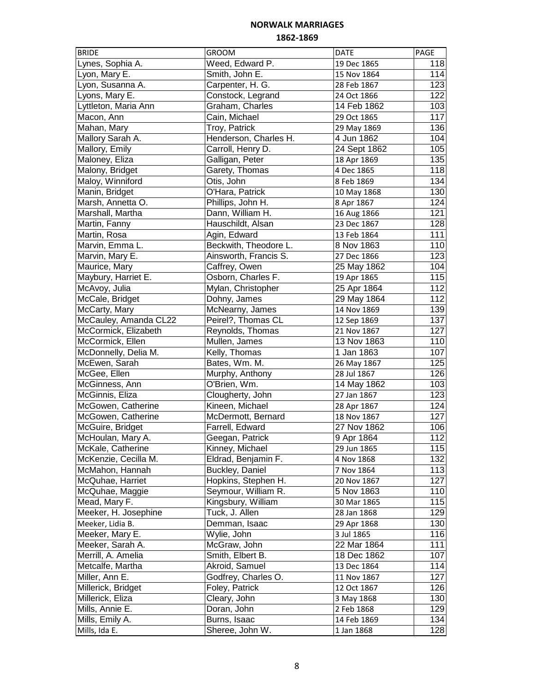| <b>BRIDE</b>          | <b>GROOM</b>          | <b>DATE</b>  | PAGE             |
|-----------------------|-----------------------|--------------|------------------|
| Lynes, Sophia A.      | Weed, Edward P.       | 19 Dec 1865  | 118              |
| Lyon, Mary E.         | Smith, John E.        | 15 Nov 1864  | 114              |
| Lyon, Susanna A.      | Carpenter, H. G.      | 28 Feb 1867  | 123              |
| Lyons, Mary E.        | Constock, Legrand     | 24 Oct 1866  | 122              |
| Lyttleton, Maria Ann  | Graham, Charles       | 14 Feb 1862  | 103              |
| Macon, Ann            | Cain, Michael         | 29 Oct 1865  | 117              |
| Mahan, Mary           | Troy, Patrick         | 29 May 1869  | 136              |
| Mallory Sarah A.      | Henderson, Charles H. | 4 Jun 1862   | 104              |
| Mallory, Emily        | Carroll, Henry D.     | 24 Sept 1862 | 105              |
| Maloney, Eliza        | Galligan, Peter       | 18 Apr 1869  | 135              |
| Malony, Bridget       | Garety, Thomas        | 4 Dec 1865   | 118              |
| Maloy, Winniford      | Otis, John            | 8 Feb 1869   | 134              |
| Manin, Bridget        | O'Hara, Patrick       | 10 May 1868  | 130              |
| Marsh, Annetta O.     | Phillips, John H.     | 8 Apr 1867   | 124              |
| Marshall, Martha      | Dann, William H.      | 16 Aug 1866  | 121              |
| Martin, Fanny         | Hauschildt, Alsan     | 23 Dec 1867  | 128              |
| Martin, Rosa          | Agin, Edward          | 13 Feb 1864  | 111              |
| Marvin, Emma L.       | Beckwith, Theodore L. |              | 110              |
|                       |                       | 8 Nov 1863   |                  |
| Marvin, Mary E.       | Ainsworth, Francis S. | 27 Dec 1866  | 123              |
| Maurice, Mary         | Caffrey, Owen         | 25 May 1862  | 104              |
| Maybury, Harriet E.   | Osborn, Charles F.    | 19 Apr 1865  | 115              |
| McAvoy, Julia         | Mylan, Christopher    | 25 Apr 1864  | 112              |
| McCale, Bridget       | Dohny, James          | 29 May 1864  | $\overline{1}12$ |
| McCarty, Mary         | McNearny, James       | 14 Nov 1869  | 139              |
| McCauley, Amanda CL22 | Peirel?, Thomas CL    | 12 Sep 1869  | 137              |
| McCormick, Elizabeth  | Reynolds, Thomas      | 21 Nov 1867  | 127              |
| McCormick, Ellen      | Mullen, James         | 13 Nov 1863  | 110              |
| McDonnelly, Delia M.  | Kelly, Thomas         | 1 Jan 1863   | 107              |
| McEwen, Sarah         | Bates, Wm. M.         | 26 May 1867  | 125              |
| McGee, Ellen          | Murphy, Anthony       | 28 Jul 1867  | 126              |
| McGinness, Ann        | O'Brien, Wm.          | 14 May 1862  | 103              |
| McGinnis, Eliza       | Clougherty, John      | 27 Jan 1867  | 123              |
| McGowen, Catherine    | Kineen, Michael       | 28 Apr 1867  | 124              |
| McGowen, Catherine    | McDermott, Bernard    | 18 Nov 1867  | 127              |
| McGuire, Bridget      | Farrell, Edward       | 27 Nov 1862  | 106              |
| McHoulan, Mary A.     | Geegan, Patrick       | 9 Apr 1864   | 112              |
| McKale, Catherine     | Kinney, Michael       | 29 Jun 1865  | 115              |
| McKenzie, Cecilla M.  | Eldrad, Benjamin F.   | 4 Nov 1868   | 132              |
| McMahon, Hannah       | Buckley, Daniel       | 7 Nov 1864   | 113              |
| McQuhae, Harriet      | Hopkins, Stephen H.   | 20 Nov 1867  | 127              |
| McQuhae, Maggie       | Seymour, William R.   | 5 Nov 1863   | 110              |
| Mead, Mary F.         | Kingsbury, William    | 30 Mar 1865  | 115              |
| Meeker, H. Josephine  | Tuck, J. Allen        | 28 Jan 1868  | 129              |
| Meeker, Lidia B.      | Demman, Isaac         | 29 Apr 1868  | 130              |
| Meeker, Mary E.       | Wylie, John           | 3 Jul 1865   | 116              |
| Meeker, Sarah A.      | McGraw, John          | 22 Mar 1864  | 111              |
| Merrill, A. Amelia    | Smith, Elbert B.      | 18 Dec 1862  | 107              |
| Metcalfe, Martha      | Akroid, Samuel        | 13 Dec 1864  | 114              |
| Miller, Ann E.        | Godfrey, Charles O.   | 11 Nov 1867  | 127              |
| Millerick, Bridget    | Foley, Patrick        | 12 Oct 1867  | 126              |
| Millerick, Eliza      | Cleary, John          | 3 May 1868   | 130              |
| Mills, Annie E.       | Doran, John           | 2 Feb 1868   | 129              |
| Mills, Emily A.       | Burns, Isaac          | 14 Feb 1869  | 134              |
|                       |                       |              | 128              |
| Mills, Ida E.         | Sheree, John W.       | 1 Jan 1868   |                  |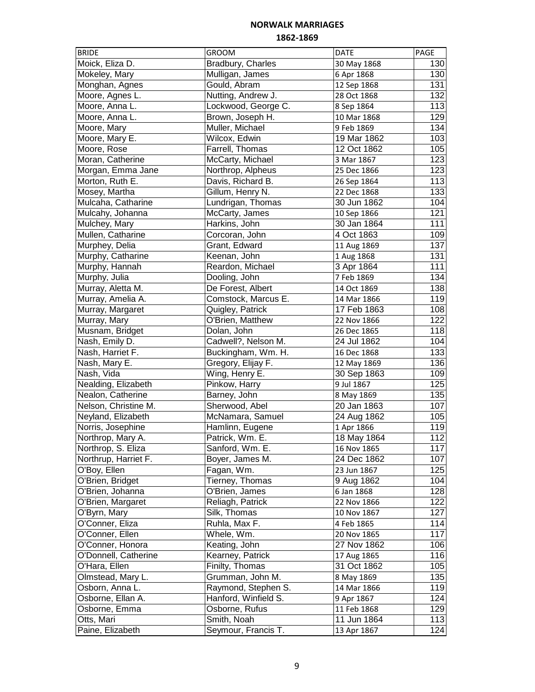| <b>BRIDE</b>         | <b>GROOM</b>         | <b>DATE</b>                | PAGE             |
|----------------------|----------------------|----------------------------|------------------|
| Moick, Eliza D.      | Bradbury, Charles    | 30 May 1868                | 130              |
| Mokeley, Mary        | Mulligan, James      | 6 Apr 1868                 | 130              |
| Monghan, Agnes       | Gould, Abram         | 12 Sep 1868                | 131              |
| Moore, Agnes L.      | Nutting, Andrew J.   | 28 Oct 1868                | 132              |
| Moore, Anna L.       | Lockwood, George C.  | 8 Sep 1864                 | 113              |
| Moore, Anna L.       | Brown, Joseph H.     | 10 Mar 1868                | 129              |
| Moore, Mary          | Muller, Michael      | 9 Feb 1869                 | 134              |
| Moore, Mary E.       | Wilcox, Edwin        | 19 Mar 1862                | 103              |
| Moore, Rose          | Farrell, Thomas      | 12 Oct 1862                | 105              |
| Moran, Catherine     | McCarty, Michael     | 3 Mar 1867                 | 123              |
| Morgan, Emma Jane    | Northrop, Alpheus    | 25 Dec 1866                | 123              |
| Morton, Ruth E.      | Davis, Richard B.    | 26 Sep 1864                | 113              |
| Mosey, Martha        | Gillum, Henry N.     | 22 Dec 1868                | 133              |
| Mulcaha, Catharine   | Lundrigan, Thomas    | 30 Jun 1862                | 104              |
| Mulcahy, Johanna     | McCarty, James       | 10 Sep 1866                | 121              |
| Mulchey, Mary        | Harkins, John        | 30 Jan 1864                | 111              |
| Mullen, Catharine    | Corcoran, John       | 4 Oct 1863                 | 109              |
| Murphey, Delia       | Grant, Edward        | 11 Aug 1869                | 137              |
| Murphy, Catharine    | Keenan, John         | 1 Aug 1868                 | 131              |
| Murphy, Hannah       | Reardon, Michael     | 3 Apr 1864                 | 111              |
| Murphy, Julia        | Dooling, John        | 7 Feb 1869                 | 134              |
| Murray, Aletta M.    | De Forest, Albert    | 14 Oct 1869                | 138              |
| Murray, Amelia A.    | Comstock, Marcus E.  | 14 Mar 1866                | 119              |
| Murray, Margaret     | Quigley, Patrick     | 17 Feb 1863                | 108              |
| Murray, Mary         | O'Brien, Matthew     | 22 Nov 1866                | $\overline{122}$ |
| Musnam, Bridget      | Dolan, John          |                            | 118              |
| Nash, Emily D.       | Cadwell?, Nelson M.  | 26 Dec 1865<br>24 Jul 1862 | 104              |
|                      | Buckingham, Wm. H.   |                            | 133              |
| Nash, Harriet F.     |                      | 16 Dec 1868                | 136              |
| Nash, Mary E.        | Gregory, Elijay F.   | 12 May 1869                |                  |
| Nash, Vida           | Wing, Henry E.       | 30 Sep 1863                | 109              |
| Nealding, Elizabeth  | Pinkow, Harry        | 9 Jul 1867                 | 125              |
| Nealon, Catherine    | Barney, John         | 8 May 1869                 | 135              |
| Nelson, Christine M. | Sherwood, Abel       | 20 Jan 1863                | 107              |
| Neyland, Elizabeth   | McNamara, Samuel     | 24 Aug 1862                | 105              |
| Norris, Josephine    | Hamlinn, Eugene      | 1 Apr 1866                 | 119              |
| Northrop, Mary A.    | Patrick, Wm. E.      | 18 May 1864                | $\overline{112}$ |
| Northrop, S. Eliza   | Sanford, Wm. E.      | 16 Nov 1865                | 117              |
| Northrup, Harriet F. | Boyer, James M.      | 24 Dec 1862                | 107              |
| O'Boy, Ellen         | Fagan, Wm.           | 23 Jun 1867                | 125              |
| O'Brien, Bridget     | Tierney, Thomas      | 9 Aug 1862                 | 104              |
| O'Brien, Johanna     | O'Brien, James       | 6 Jan 1868                 | 128              |
| O'Brien, Margaret    | Reliagh, Patrick     | 22 Nov 1866                | 122              |
| O'Byrn, Mary         | Silk, Thomas         | 10 Nov 1867                | 127              |
| O'Conner, Eliza      | Ruhla, Max F.        | 4 Feb 1865                 | 114              |
| O'Conner, Ellen      | Whele, Wm.           | 20 Nov 1865                | 117              |
| O'Conner, Honora     | Keating, John        | 27 Nov 1862                | 106              |
| O'Donnell, Catherine | Kearney, Patrick     | 17 Aug 1865                | 116              |
| O'Hara, Ellen        | Finilty, Thomas      | 31 Oct 1862                | 105              |
| Olmstead, Mary L.    | Grumman, John M.     | 8 May 1869                 | 135              |
| Osborn, Anna L.      | Raymond, Stephen S.  | 14 Mar 1866                | 119              |
| Osborne, Ellan A.    | Hanford, Winfield S. | 9 Apr 1867                 | 124              |
| Osborne, Emma        | Osborne, Rufus       | 11 Feb 1868                | 129              |
| Otts, Mari           | Smith, Noah          | 11 Jun 1864                | 113              |
| Paine, Elizabeth     | Seymour, Francis T.  | 13 Apr 1867                | 124              |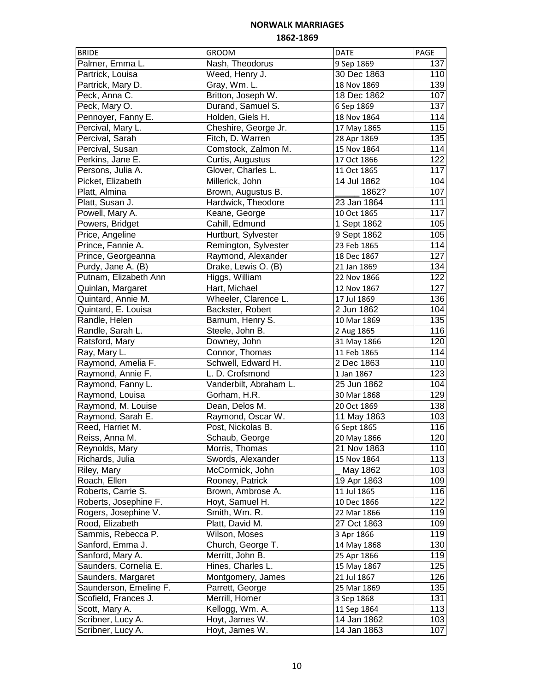| <b>BRIDE</b>           | <b>GROOM</b>           | <b>DATE</b> | PAGE |
|------------------------|------------------------|-------------|------|
| Palmer, Emma L.        | Nash, Theodorus        | 9 Sep 1869  | 137  |
| Partrick, Louisa       | Weed, Henry J.         | 30 Dec 1863 | 110  |
| Partrick, Mary D.      | Gray, Wm. L.           | 18 Nov 1869 | 139  |
| Peck, Anna C.          | Britton, Joseph W.     | 18 Dec 1862 | 107  |
| Peck, Mary O.          | Durand, Samuel S.      | 6 Sep 1869  | 137  |
| Pennoyer, Fanny E.     | Holden, Giels H.       | 18 Nov 1864 | 114  |
| Percival, Mary L.      | Cheshire, George Jr.   | 17 May 1865 | 115  |
| Percival, Sarah        | Fitch, D. Warren       | 28 Apr 1869 | 135  |
| Percival, Susan        | Comstock, Zalmon M.    | 15 Nov 1864 | 114  |
| Perkins, Jane E.       | Curtis, Augustus       | 17 Oct 1866 | 122  |
| Persons, Julia A.      | Glover, Charles L.     | 11 Oct 1865 | 117  |
| Picket, Elizabeth      | Millerick, John        | 14 Jul 1862 | 104  |
| Platt, Almina          | Brown, Augustus B.     | 1862?       | 107  |
| Platt, Susan J.        | Hardwick, Theodore     | 23 Jan 1864 | 111  |
| Powell, Mary A.        | Keane, George          | 10 Oct 1865 | 117  |
| Powers, Bridget        | Cahill, Edmund         | 1 Sept 1862 | 105  |
| Price, Angeline        | Hurtburt, Sylvester    | 9 Sept 1862 | 105  |
| Prince, Fannie A.      | Remington, Sylvester   | 23 Feb 1865 | 114  |
| Prince, Georgeanna     | Raymond, Alexander     | 18 Dec 1867 | 127  |
| Purdy, Jane A. (B)     | Drake, Lewis O. (B)    | 21 Jan 1869 | 134  |
| Putnam, Elizabeth Ann  | Higgs, William         | 22 Nov 1866 | 122  |
| Quinlan, Margaret      | Hart, Michael          | 12 Nov 1867 | 127  |
| Quintard, Annie M.     | Wheeler, Clarence L.   | 17 Jul 1869 | 136  |
| Quintard, E. Louisa    | Backster, Robert       | 2 Jun 1862  | 104  |
| Randle, Helen          | Barnum, Henry S.       | 10 Mar 1869 | 135  |
| Randle, Sarah L.       | Steele, John B.        | 2 Aug 1865  | 116  |
| Ratsford, Mary         | Downey, John           | 31 May 1866 | 120  |
| Ray, Mary L.           | Connor, Thomas         | 11 Feb 1865 | 114  |
| Raymond, Amelia F.     | Schwell, Edward H.     | 2 Dec 1863  | 110  |
| Raymond, Annie F.      | L. D. Crofsmond        | 1 Jan 1867  | 123  |
| Raymond, Fanny L.      | Vanderbilt, Abraham L. | 25 Jun 1862 | 104  |
| Raymond, Louisa        | Gorham, H.R.           | 30 Mar 1868 | 129  |
| Raymond, M. Louise     | Dean, Delos M.         | 20 Oct 1869 | 138  |
| Raymond, Sarah E.      | Raymond, Oscar W.      | 11 May 1863 | 103  |
| Reed, Harriet M.       | Post, Nickolas B.      | 6 Sept 1865 | 116  |
| Reiss, Anna M.         | Schaub, George         | 20 May 1866 | 120  |
| Reynolds, Mary         | Morris, Thomas         | 21 Nov 1863 | 110  |
| Richards, Julia        | Swords, Alexander      | 15 Nov 1864 | 113  |
| Riley, Mary            | McCormick, John        | May 1862    | 103  |
| Roach, Ellen           | Rooney, Patrick        | 19 Apr 1863 | 109  |
| Roberts, Carrie S.     | Brown, Ambrose A.      | 11 Jul 1865 | 116  |
| Roberts, Josephine F.  | Hoyt, Samuel H.        | 10 Dec 1866 | 122  |
| Rogers, Josephine V.   | Smith, Wm. R.          | 22 Mar 1866 | 119  |
| Rood, Elizabeth        | Platt, David M.        | 27 Oct 1863 | 109  |
| Sammis, Rebecca P.     | Wilson, Moses          | 3 Apr 1866  | 119  |
| Sanford, Emma J.       | Church, George T.      | 14 May 1868 | 130  |
| Sanford, Mary A.       | Merritt, John B.       | 25 Apr 1866 | 119  |
| Saunders, Cornelia E.  | Hines, Charles L.      | 15 May 1867 | 125  |
| Saunders, Margaret     | Montgomery, James      | 21 Jul 1867 | 126  |
| Saunderson, Emeline F. | Parrett, George        | 25 Mar 1869 | 135  |
| Scofield, Frances J.   | Merrill, Homer         | 3 Sep 1868  | 131  |
| Scott, Mary A.         | Kellogg, Wm. A.        | 11 Sep 1864 | 113  |
| Scribner, Lucy A.      | Hoyt, James W.         | 14 Jan 1862 | 103  |
| Scribner, Lucy A.      | Hoyt, James W.         | 14 Jan 1863 | 107  |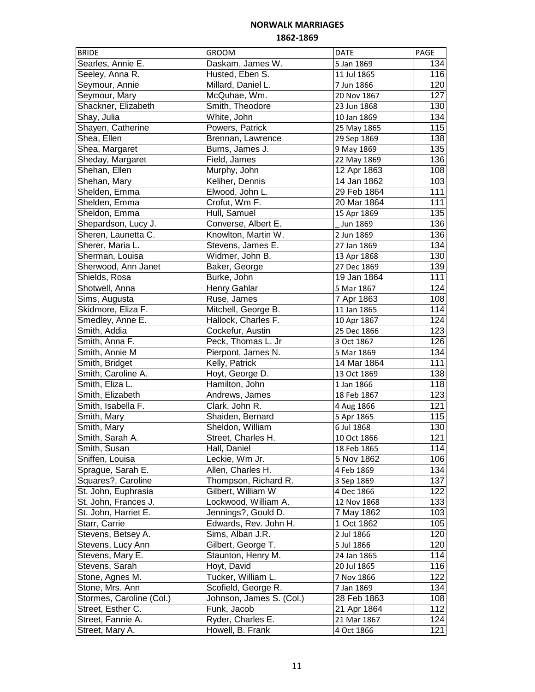| <b>BRIDE</b>             | GROOM                    | <b>DATE</b> | PAGE             |
|--------------------------|--------------------------|-------------|------------------|
| Searles, Annie E.        | Daskam, James W.         | 5 Jan 1869  | 134              |
| Seeley, Anna R.          | Husted, Eben S.          | 11 Jul 1865 | 116              |
| Seymour, Annie           | Millard, Daniel L.       | 7 Jun 1866  | 120              |
| Seymour, Mary            | McQuhae, Wm.             | 20 Nov 1867 | 127              |
| Shackner, Elizabeth      | Smith, Theodore          | 23 Jun 1868 | 130              |
| Shay, Julia              | White, John              | 10 Jan 1869 | 134              |
| Shayen, Catherine        | Powers, Patrick          | 25 May 1865 | 115              |
| Shea, Ellen              | Brennan, Lawrence        | 29 Sep 1869 | 138              |
| Shea, Margaret           | Burns, James J.          | 9 May 1869  | 135              |
| Sheday, Margaret         | Field, James             | 22 May 1869 | 136              |
| Shehan, Ellen            | Murphy, John             | 12 Apr 1863 | 108              |
| Shehan, Mary             | Keliher, Dennis          | 14 Jan 1862 | 103              |
| Shelden, Emma            | Elwood, John L.          | 29 Feb 1864 | 111              |
| Shelden, Emma            | Crofut, Wm F.            | 20 Mar 1864 | 111              |
| Sheldon, Emma            | Hull, Samuel             | 15 Apr 1869 | 135              |
| Shepardson, Lucy J.      | Converse, Albert E.      | Jun 1869    | 136              |
| Sheren, Launetta C.      | Knowlton, Martin W.      | 2 Jun 1869  | 136              |
| Sherer, Maria L.         | Stevens, James E.        | 27 Jan 1869 | 134              |
| Sherman, Louisa          | Widmer, John B.          | 13 Apr 1868 | 130              |
| Sherwood, Ann Janet      | Baker, George            | 27 Dec 1869 | 139              |
| Shields, Rosa            | Burke, John              | 19 Jan 1864 | 111              |
| Shotwell, Anna           |                          |             | 124              |
|                          | Henry Gahlar             | 5 Mar 1867  | 108              |
| Sims, Augusta            | Ruse, James              | 7 Apr 1863  |                  |
| Skidmore, Eliza F.       | Mitchell, George B.      | 11 Jan 1865 | 114              |
| Smedley, Anne E.         | Hallock, Charles F.      | 10 Apr 1867 | 124              |
| Smith, Addia             | Cockefur, Austin         | 25 Dec 1866 | 123              |
| Smith, Anna F.           | Peck, Thomas L. Jr       | 3 Oct 1867  | 126              |
| Smith, Annie M           | Pierpont, James N.       | 5 Mar 1869  | 134              |
| Smith, Bridget           | Kelly, Patrick           | 14 Mar 1864 | 111              |
| Smith, Caroline A.       | Hoyt, George D.          | 13 Oct 1869 | 138              |
| Smith, Eliza L.          | Hamilton, John           | 1 Jan 1866  | 118              |
| Smith, Elizabeth         | Andrews, James           | 18 Feb 1867 | 123              |
| Smith, Isabella F.       | Clark, John R.           | 4 Aug 1866  | 121              |
| Smith, Mary              | Shaiden, Bernard         | 5 Apr 1865  | 115              |
| Smith, Mary              | Sheldon, William         | 6 Jul 1868  | 130              |
| Smith, Sarah A.          | Street, Charles H.       | 10 Oct 1866 | $121$            |
| Smith, Susan             | Hall, Daniel             | 18 Feb 1865 | 114              |
| Sniffen, Louisa          | Leckie, Wm Jr.           | 5 Nov 1862  | 106              |
| Sprague, Sarah E.        | Allen, Charles H.        | 4 Feb 1869  | 134              |
| Squares?, Caroline       | Thompson, Richard R.     | 3 Sep 1869  | 137              |
| St. John, Euphrasia      | Gilbert, William W       | 4 Dec 1866  | 122              |
| St. John, Frances J.     | Lockwood, William A.     | 12 Nov 1868 | 133              |
| St. John, Harriet E.     | Jennings?, Gould D.      | 7 May 1862  | 103              |
| Starr, Carrie            | Edwards, Rev. John H.    | 1 Oct 1862  | 105              |
| Stevens, Betsey A.       | Sims, Alban J.R.         | 2 Jul 1866  | 120              |
| Stevens, Lucy Ann        | Gilbert, George T.       | 5 Jul 1866  | 120              |
| Stevens, Mary E.         | Staunton, Henry M.       | 24 Jan 1865 | 114              |
| Stevens, Sarah           | Hoyt, David              | 20 Jul 1865 | 116              |
| Stone, Agnes M.          | Tucker, William L.       | 7 Nov 1866  | $\overline{1}22$ |
| Stone, Mrs. Ann          | Scofield, George R.      | 7 Jan 1869  | 134              |
| Stormes, Caroline (Col.) | Johnson, James S. (Col.) | 28 Feb 1863 | 108              |
| Street, Esther C.        | Funk, Jacob              | 21 Apr 1864 | 112              |
| Street, Fannie A.        | Ryder, Charles E.        | 21 Mar 1867 | 124              |
| Street, Mary A.          | Howell, B. Frank         | 4 Oct 1866  | 121              |
|                          |                          |             |                  |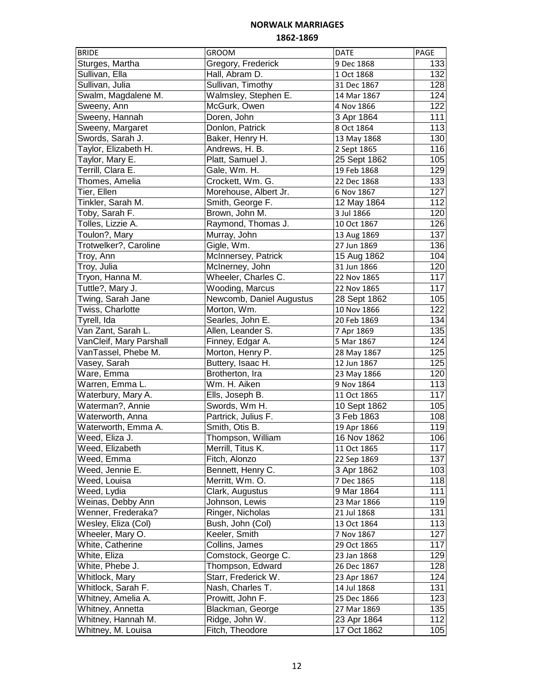| <b>BRIDE</b>            | <b>GROOM</b>             | <b>DATE</b>  | PAGE             |
|-------------------------|--------------------------|--------------|------------------|
| Sturges, Martha         | Gregory, Frederick       | 9 Dec 1868   | 133              |
| Sullivan, Ella          | Hall, Abram D.           | 1 Oct 1868   | 132              |
| Sullivan, Julia         | Sullivan, Timothy        | 31 Dec 1867  | 128              |
| Swalm, Magdalene M.     | Walmsley, Stephen E.     | 14 Mar 1867  | 124              |
| Sweeny, Ann             | McGurk, Owen             | 4 Nov 1866   | 122              |
| Sweeny, Hannah          | Doren, John              | 3 Apr 1864   | $\overline{111}$ |
| Sweeny, Margaret        | Donlon, Patrick          | 8 Oct 1864   | 113              |
| Swords, Sarah J.        | Baker, Henry H.          | 13 May 1868  | 130              |
| Taylor, Elizabeth H.    | Andrews, H. B.           | 2 Sept 1865  | 116              |
| Taylor, Mary E.         | Platt, Samuel J.         | 25 Sept 1862 | 105              |
| Terrill, Clara E.       | Gale, Wm. H.             | 19 Feb 1868  | 129              |
| Thomes, Amelia          | Crockett, Wm. G.         | 22 Dec 1868  | 133              |
| Tier, Ellen             | Morehouse, Albert Jr.    | 6 Nov 1867   | 127              |
| Tinkler, Sarah M.       | Smith, George F.         | 12 May 1864  | 112              |
| Toby, Sarah F.          | Brown, John M.           | 3 Jul 1866   | 120              |
| Tolles, Lizzie A.       | Raymond, Thomas J.       | 10 Oct 1867  | 126              |
| Toulon?, Mary           | Murray, John             | 13 Aug 1869  | 137              |
| Trotwelker?, Caroline   | Gigle, Wm.               | 27 Jun 1869  | 136              |
| Troy, Ann               | McInnersey, Patrick      | 15 Aug 1862  | 104              |
| Troy, Julia             | McInerney, John          | 31 Jun 1866  | 120              |
| Tryon, Hanna M.         | Wheeler, Charles C.      | 22 Nov 1865  | 117              |
| Tuttle?, Mary J.        | Wooding, Marcus          | 22 Nov 1865  | 117              |
| Twing, Sarah Jane       | Newcomb, Daniel Augustus | 28 Sept 1862 | 105              |
| Twiss, Charlotte        | Morton, Wm.              | 10 Nov 1866  | 122              |
| Tyrell, Ida             | Searles, John E.         | 20 Feb 1869  | 134              |
| Van Zant, Sarah L.      | Allen, Leander S.        | 7 Apr 1869   | 135              |
| VanCleif, Mary Parshall | Finney, Edgar A.         | 5 Mar 1867   | 124              |
| VanTassel, Phebe M.     | Morton, Henry P.         | 28 May 1867  | 125              |
| Vasey, Sarah            | Buttery, Isaac H.        | 12 Jun 1867  | 125              |
| Ware, Emma              | Brotherton, Ira          | 23 May 1866  | 120              |
| Warren, Emma L.         | Wm. H. Aiken             | 9 Nov 1864   | 113              |
| Waterbury, Mary A.      | Ells, Joseph B.          | 11 Oct 1865  | 117              |
| Waterman?, Annie        | Swords, Wm H.            | 10 Sept 1862 | 105              |
| Waterworth, Anna        | Partrick, Julius F.      | 3 Feb 1863   | 108              |
| Waterworth, Emma A.     | Smith, Otis B.           | 19 Apr 1866  | 119              |
| Weed, Eliza J.          | Thompson, William        | 16 Nov 1862  | 106              |
| Weed, Elizabeth         | Merrill, Titus K.        | 11 Oct 1865  | 117              |
| Weed, Emma              | Fitch, Alonzo            | 22 Sep 1869  | 137              |
| Weed, Jennie E.         | Bennett, Henry C.        | 3 Apr 1862   | 103              |
| Weed, Louisa            | Merritt, Wm. O.          | 7 Dec 1865   | 118              |
| Weed, Lydia             | Clark, Augustus          | 9 Mar 1864   | 111              |
| Weinas, Debby Ann       | Johnson, Lewis           | 23 Mar 1866  | 119              |
| Wenner, Frederaka?      | Ringer, Nicholas         | 21 Jul 1868  | 131              |
| Wesley, Eliza (Col)     | Bush, John (Col)         | 13 Oct 1864  | 113              |
| Wheeler, Mary O.        | Keeler, Smith            | 7 Nov 1867   | 127              |
| White, Catherine        | Collins, James           | 29 Oct 1865  | 117              |
| White, Eliza            | Comstock, George C.      | 23 Jan 1868  | 129              |
| White, Phebe J.         | Thompson, Edward         | 26 Dec 1867  | 128              |
| Whitlock, Mary          | Starr, Frederick W.      | 23 Apr 1867  | 124              |
| Whitlock, Sarah F.      | Nash, Charles T.         | 14 Jul 1868  | 131              |
| Whitney, Amelia A.      | Prowitt, John F.         | 25 Dec 1866  | 123              |
| Whitney, Annetta        | Blackman, George         | 27 Mar 1869  | 135              |
| Whitney, Hannah M.      | Ridge, John W.           | 23 Apr 1864  | 112              |
| Whitney, M. Louisa      | Fitch, Theodore          | 17 Oct 1862  | 105              |